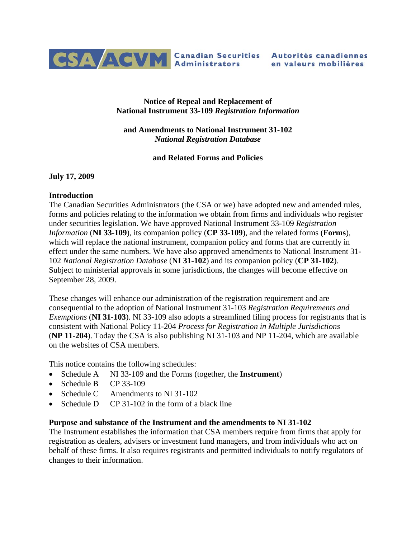

## **Notice of Repeal and Replacement of National Instrument 33-109** *Registration Information*

## **and Amendments to National Instrument 31-102**  *National Registration Database*

## **and Related Forms and Policies**

## **July 17, 2009**

#### **Introduction**

The Canadian Securities Administrators (the CSA or we) have adopted new and amended rules, forms and policies relating to the information we obtain from firms and individuals who register under securities legislation. We have approved National Instrument 33-109 *Registration Information* (**NI 33-109**), its companion policy (**CP 33-109**), and the related forms (**Forms**), which will replace the national instrument, companion policy and forms that are currently in effect under the same numbers. We have also approved amendments to National Instrument 31- 102 *National Registration Database* (**NI 31-102**) and its companion policy (**CP 31-102**). Subject to ministerial approvals in some jurisdictions, the changes will become effective on September 28, 2009.

These changes will enhance our administration of the registration requirement and are consequential to the adoption of National Instrument 31-103 *Registration Requirements and Exemptions* (**NI 31-103**). NI 33-109 also adopts a streamlined filing process for registrants that is consistent with National Policy 11-204 *Process for Registration in Multiple Jurisdictions* (**NP 11-204**). Today the CSA is also publishing NI 31-103 and NP 11-204, which are available on the websites of CSA members.

This notice contains the following schedules:

- Schedule A NI 33-109 and the Forms (together, the **Instrument**)
- Schedule B CP 33-109
- Schedule C Amendments to NI 31-102
- Schedule D CP 31-102 in the form of a black line

## **Purpose and substance of the Instrument and the amendments to NI 31-102**

The Instrument establishes the information that CSA members require from firms that apply for registration as dealers, advisers or investment fund managers, and from individuals who act on behalf of these firms. It also requires registrants and permitted individuals to notify regulators of changes to their information.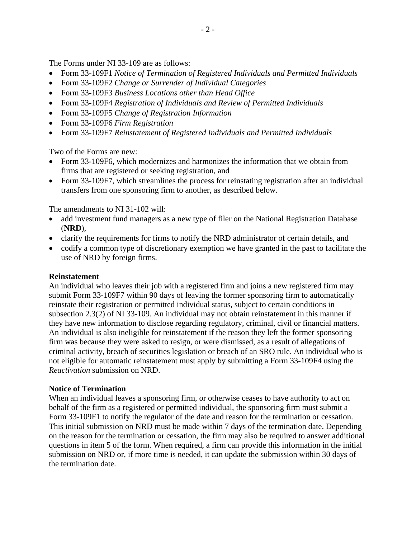The Forms under NI 33-109 are as follows:

- Form 33-109F1 *Notice of Termination of Registered Individuals and Permitted Individuals*
- Form 33-109F2 *Change or Surrender of Individual Categories*
- Form 33-109F3 *Business Locations other than Head Office*
- Form 33-109F4 *Registration of Individuals and Review of Permitted Individuals*
- Form 33-109F5 *Change of Registration Information*
- Form 33-109F6 *Firm Registration*
- Form 33-109F7 *Reinstatement of Registered Individuals and Permitted Individuals*

Two of the Forms are new:

- Form 33-109F6, which modernizes and harmonizes the information that we obtain from firms that are registered or seeking registration, and
- Form 33-109F7, which streamlines the process for reinstating registration after an individual transfers from one sponsoring firm to another, as described below.

The amendments to NI 31-102 will:

- add investment fund managers as a new type of filer on the National Registration Database (**NRD**),
- clarify the requirements for firms to notify the NRD administrator of certain details, and
- codify a common type of discretionary exemption we have granted in the past to facilitate the use of NRD by foreign firms.

## **Reinstatement**

An individual who leaves their job with a registered firm and joins a new registered firm may submit Form 33-109F7 within 90 days of leaving the former sponsoring firm to automatically reinstate their registration or permitted individual status, subject to certain conditions in subsection 2.3(2) of NI 33-109. An individual may not obtain reinstatement in this manner if they have new information to disclose regarding regulatory, criminal, civil or financial matters. An individual is also ineligible for reinstatement if the reason they left the former sponsoring firm was because they were asked to resign, or were dismissed, as a result of allegations of criminal activity, breach of securities legislation or breach of an SRO rule. An individual who is not eligible for automatic reinstatement must apply by submitting a Form 33-109F4 using the *Reactivation* submission on NRD.

## **Notice of Termination**

When an individual leaves a sponsoring firm, or otherwise ceases to have authority to act on behalf of the firm as a registered or permitted individual, the sponsoring firm must submit a Form 33-109F1 to notify the regulator of the date and reason for the termination or cessation. This initial submission on NRD must be made within 7 days of the termination date. Depending on the reason for the termination or cessation, the firm may also be required to answer additional questions in item 5 of the form. When required, a firm can provide this information in the initial submission on NRD or, if more time is needed, it can update the submission within 30 days of the termination date.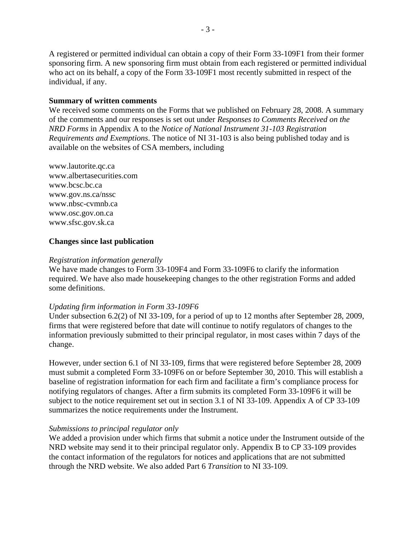A registered or permitted individual can obtain a copy of their Form 33-109F1 from their former sponsoring firm. A new sponsoring firm must obtain from each registered or permitted individual who act on its behalf, a copy of the Form 33-109F1 most recently submitted in respect of the individual, if any.

#### **Summary of written comments**

We received some comments on the Forms that we published on February 28, 2008. A summary of the comments and our responses is set out under *Responses to Comments Received on the NRD Forms* in Appendix A to the *Notice of National Instrument 31-103 Registration Requirements and Exemptions*. The notice of NI 31-103 is also being published today and is available on the websites of CSA members, including

www.lautorite.qc.ca www.albertasecurities.com www.bcsc.bc.ca www.gov.ns.ca/nssc www.nbsc-cvmnb.ca www.osc.gov.on.ca www.sfsc.gov.sk.ca

## **Changes since last publication**

#### *Registration information generally*

We have made changes to Form 33-109F4 and Form 33-109F6 to clarify the information required. We have also made housekeeping changes to the other registration Forms and added some definitions.

## *Updating firm information in Form 33-109F6*

Under subsection 6.2(2) of NI 33-109, for a period of up to 12 months after September 28, 2009, firms that were registered before that date will continue to notify regulators of changes to the information previously submitted to their principal regulator, in most cases within 7 days of the change.

However, under section 6.1 of NI 33-109, firms that were registered before September 28, 2009 must submit a completed Form 33-109F6 on or before September 30, 2010. This will establish a baseline of registration information for each firm and facilitate a firm's compliance process for notifying regulators of changes. After a firm submits its completed Form 33-109F6 it will be subject to the notice requirement set out in section 3.1 of NI 33-109. Appendix A of CP 33-109 summarizes the notice requirements under the Instrument.

#### *Submissions to principal regulator only*

We added a provision under which firms that submit a notice under the Instrument outside of the NRD website may send it to their principal regulator only. Appendix B to CP 33-109 provides the contact information of the regulators for notices and applications that are not submitted through the NRD website. We also added Part 6 *Transition* to NI 33-109.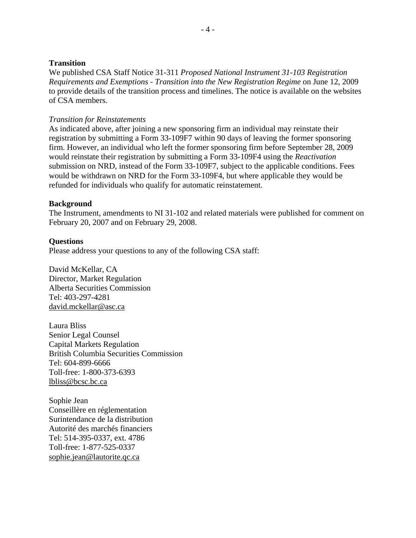# **Transition**

We published CSA Staff Notice 31-311 *Proposed National Instrument 31-103 Registration Requirements and Exemptions - Transition into the New Registration Regime* on June 12, 2009 to provide details of the transition process and timelines. The notice is available on the websites of CSA members.

# *Transition for Reinstatements*

As indicated above, after joining a new sponsoring firm an individual may reinstate their registration by submitting a Form 33-109F7 within 90 days of leaving the former sponsoring firm. However, an individual who left the former sponsoring firm before September 28, 2009 would reinstate their registration by submitting a Form 33-109F4 using the *Reactivation* submission on NRD, instead of the Form 33-109F7, subject to the applicable conditions. Fees would be withdrawn on NRD for the Form 33-109F4, but where applicable they would be refunded for individuals who qualify for automatic reinstatement.

# **Background**

The Instrument, amendments to NI 31-102 and related materials were published for comment on February 20, 2007 and on February 29, 2008.

# **Questions**

Please address your questions to any of the following CSA staff:

David McKellar, CA Director, Market Regulation Alberta Securities Commission Tel: 403-297-4281 david.mckellar@asc.ca

Laura Bliss Senior Legal Counsel Capital Markets Regulation British Columbia Securities Commission Tel: 604-899-6666 Toll-free: 1-800-373-6393 lbliss@bcsc.bc.ca

Sophie Jean Conseillère en réglementation Surintendance de la distribution Autorité des marchés financiers Tel: 514-395-0337, ext. 4786 Toll-free: 1-877-525-0337 sophie.jean@lautorite.qc.ca